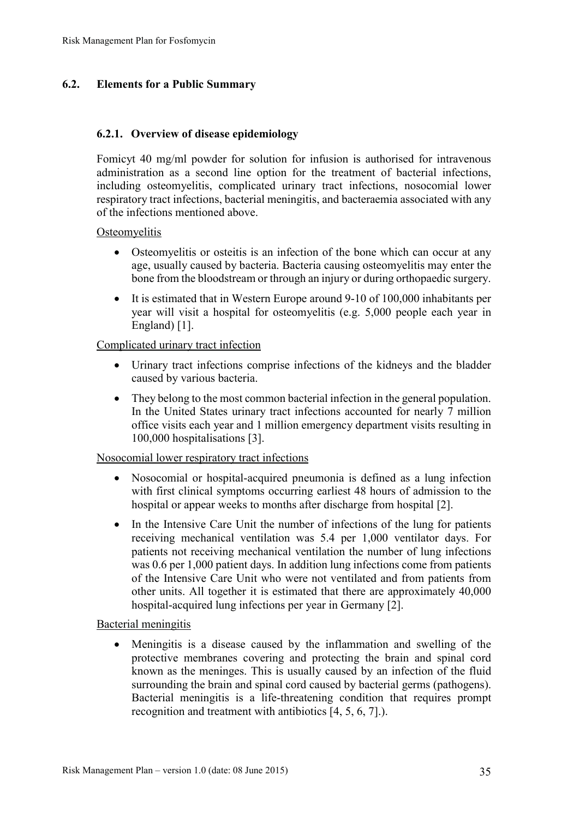## **6.2. Elements for a Public Summary**

### **6.2.1. Overview of disease epidemiology**

Fomicyt 40 mg/ml powder for solution for infusion is authorised for intravenous administration as a second line option for the treatment of bacterial infections, including osteomyelitis, complicated urinary tract infections, nosocomial lower respiratory tract infections, bacterial meningitis, and bacteraemia associated with any of the infections mentioned above.

**Osteomyelitis** 

- Osteomyelitis or osteitis is an infection of the bone which can occur at any age, usually caused by bacteria. Bacteria causing osteomyelitis may enter the bone from the bloodstream or through an injury or during orthopaedic surgery.
- $\bullet$  It is estimated that in Western Europe around 9-10 of 100,000 inhabitants per year will visit a hospital for osteomyelitis (e.g. 5,000 people each year in England) [1].

### Complicated urinary tract infection

- Urinary tract infections comprise infections of the kidneys and the bladder caused by various bacteria.
- They belong to the most common bacterial infection in the general population. In the United States urinary tract infections accounted for nearly 7 million office visits each year and 1 million emergency department visits resulting in 100,000 hospitalisations [3].

### Nosocomial lower respiratory tract infections

- x Nosocomial or hospital-acquired pneumonia is defined as a lung infection with first clinical symptoms occurring earliest 48 hours of admission to the hospital or appear weeks to months after discharge from hospital [2].
- In the Intensive Care Unit the number of infections of the lung for patients receiving mechanical ventilation was 5.4 per 1,000 ventilator days. For patients not receiving mechanical ventilation the number of lung infections was 0.6 per 1,000 patient days. In addition lung infections come from patients of the Intensive Care Unit who were not ventilated and from patients from other units. All together it is estimated that there are approximately 40,000 hospital-acquired lung infections per year in Germany [2].

Bacterial meningitis

x Meningitis is a disease caused by the inflammation and swelling of the protective membranes covering and protecting the brain and spinal cord known as the meninges. This is usually caused by an infection of the fluid surrounding the brain and spinal cord caused by bacterial germs (pathogens). Bacterial meningitis is a life-threatening condition that requires prompt recognition and treatment with antibiotics [4, 5, 6, 7].).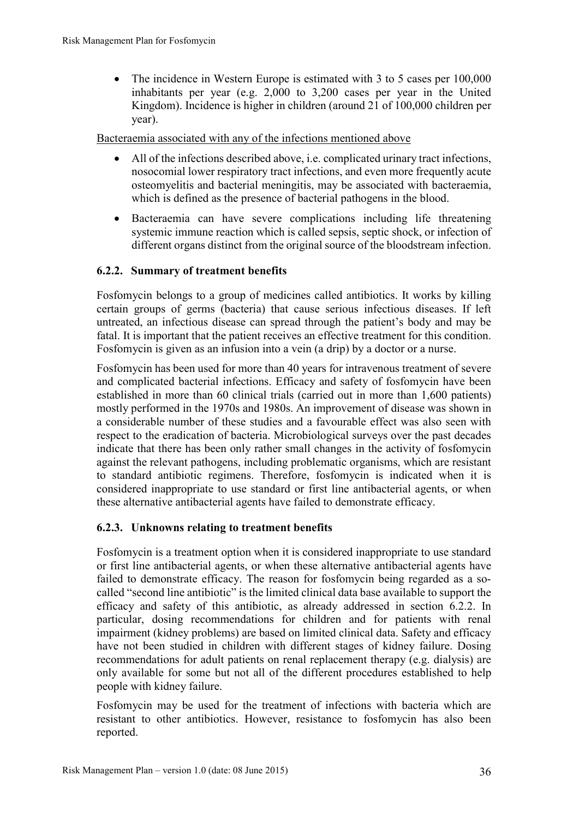• The incidence in Western Europe is estimated with 3 to 5 cases per  $100,000$ inhabitants per year (e.g. 2,000 to 3,200 cases per year in the United Kingdom). Incidence is higher in children (around 21 of 100,000 children per year).

Bacteraemia associated with any of the infections mentioned above

- All of the infections described above, i.e. complicated urinary tract infections, nosocomial lower respiratory tract infections, and even more frequently acute osteomyelitis and bacterial meningitis, may be associated with bacteraemia, which is defined as the presence of bacterial pathogens in the blood.
- Bacteraemia can have severe complications including life threatening systemic immune reaction which is called sepsis, septic shock, or infection of different organs distinct from the original source of the bloodstream infection.

## **6.2.2. Summary of treatment benefits**

Fosfomycin belongs to a group of medicines called antibiotics. It works by killing certain groups of germs (bacteria) that cause serious infectious diseases. If left untreated, an infectious disease can spread through the patient's body and may be fatal. It is important that the patient receives an effective treatment for this condition. Fosfomycin is given as an infusion into a vein (a drip) by a doctor or a nurse.

Fosfomycin has been used for more than 40 years for intravenous treatment of severe and complicated bacterial infections. Efficacy and safety of fosfomycin have been established in more than 60 clinical trials (carried out in more than 1,600 patients) mostly performed in the 1970s and 1980s. An improvement of disease was shown in a considerable number of these studies and a favourable effect was also seen with respect to the eradication of bacteria. Microbiological surveys over the past decades indicate that there has been only rather small changes in the activity of fosfomycin against the relevant pathogens, including problematic organisms, which are resistant to standard antibiotic regimens. Therefore, fosfomycin is indicated when it is considered inappropriate to use standard or first line antibacterial agents, or when these alternative antibacterial agents have failed to demonstrate efficacy.

### **6.2.3. Unknowns relating to treatment benefits**

Fosfomycin is a treatment option when it is considered inappropriate to use standard or first line antibacterial agents, or when these alternative antibacterial agents have failed to demonstrate efficacy. The reason for fosfomycin being regarded as a socalled "second line antibiotic" is the limited clinical data base available to support the efficacy and safety of this antibiotic, as already addressed in section 6.2.2. In particular, dosing recommendations for children and for patients with renal impairment (kidney problems) are based on limited clinical data. Safety and efficacy have not been studied in children with different stages of kidney failure. Dosing recommendations for adult patients on renal replacement therapy (e.g. dialysis) are only available for some but not all of the different procedures established to help people with kidney failure.

Fosfomycin may be used for the treatment of infections with bacteria which are resistant to other antibiotics. However, resistance to fosfomycin has also been reported.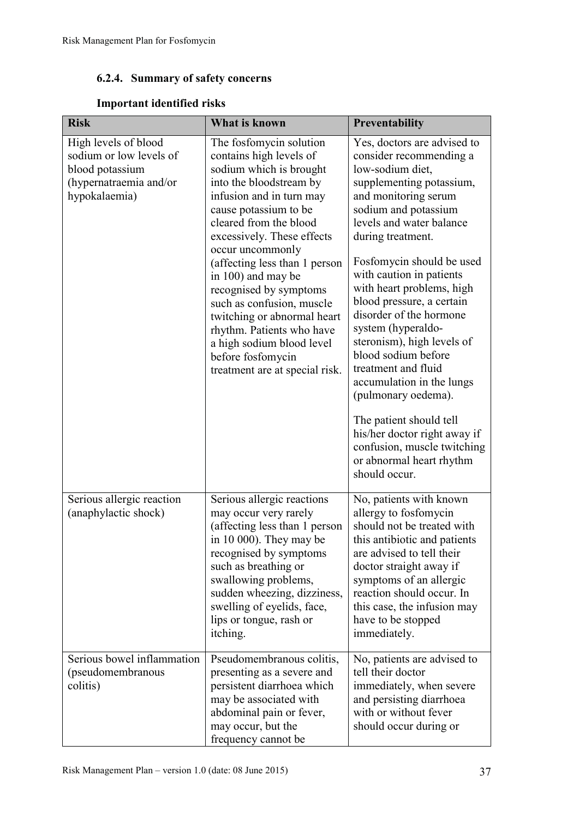# **6.2.4. Summary of safety concerns**

# **Important identified risks**

| <b>Risk</b>                                                                                                   | What is known                                                                                                                                                                                                                                                                                                                                                                                                                                                                                           | Preventability                                                                                                                                                                                                                                                                                                                                                                                                                                                                                                                                                                                                                                     |
|---------------------------------------------------------------------------------------------------------------|---------------------------------------------------------------------------------------------------------------------------------------------------------------------------------------------------------------------------------------------------------------------------------------------------------------------------------------------------------------------------------------------------------------------------------------------------------------------------------------------------------|----------------------------------------------------------------------------------------------------------------------------------------------------------------------------------------------------------------------------------------------------------------------------------------------------------------------------------------------------------------------------------------------------------------------------------------------------------------------------------------------------------------------------------------------------------------------------------------------------------------------------------------------------|
| High levels of blood<br>sodium or low levels of<br>blood potassium<br>(hypernatraemia and/or<br>hypokalaemia) | The fosfomycin solution<br>contains high levels of<br>sodium which is brought<br>into the bloodstream by<br>infusion and in turn may<br>cause potassium to be<br>cleared from the blood<br>excessively. These effects<br>occur uncommonly<br>(affecting less than 1 person<br>in 100) and may be<br>recognised by symptoms<br>such as confusion, muscle<br>twitching or abnormal heart<br>rhythm. Patients who have<br>a high sodium blood level<br>before fosfomycin<br>treatment are at special risk. | Yes, doctors are advised to<br>consider recommending a<br>low-sodium diet,<br>supplementing potassium,<br>and monitoring serum<br>sodium and potassium<br>levels and water balance<br>during treatment.<br>Fosfomycin should be used<br>with caution in patients<br>with heart problems, high<br>blood pressure, a certain<br>disorder of the hormone<br>system (hyperaldo-<br>steronism), high levels of<br>blood sodium before<br>treatment and fluid<br>accumulation in the lungs<br>(pulmonary oedema).<br>The patient should tell<br>his/her doctor right away if<br>confusion, muscle twitching<br>or abnormal heart rhythm<br>should occur. |
| Serious allergic reaction<br>(anaphylactic shock)                                                             | Serious allergic reactions<br>may occur very rarely<br>(affecting less than 1 person<br>in $10000$ . They may be<br>recognised by symptoms<br>such as breathing or<br>swallowing problems,<br>sudden wheezing, dizziness,<br>swelling of eyelids, face,<br>lips or tongue, rash or<br>itching.                                                                                                                                                                                                          | No, patients with known<br>allergy to fosfomycin<br>should not be treated with<br>this antibiotic and patients<br>are advised to tell their<br>doctor straight away if<br>symptoms of an allergic<br>reaction should occur. In<br>this case, the infusion may<br>have to be stopped<br>immediately.                                                                                                                                                                                                                                                                                                                                                |
| Serious bowel inflammation<br>(pseudomembranous<br>colitis)                                                   | Pseudomembranous colitis,<br>presenting as a severe and<br>persistent diarrhoea which<br>may be associated with<br>abdominal pain or fever,<br>may occur, but the<br>frequency cannot be                                                                                                                                                                                                                                                                                                                | No, patients are advised to<br>tell their doctor<br>immediately, when severe<br>and persisting diarrhoea<br>with or without fever<br>should occur during or                                                                                                                                                                                                                                                                                                                                                                                                                                                                                        |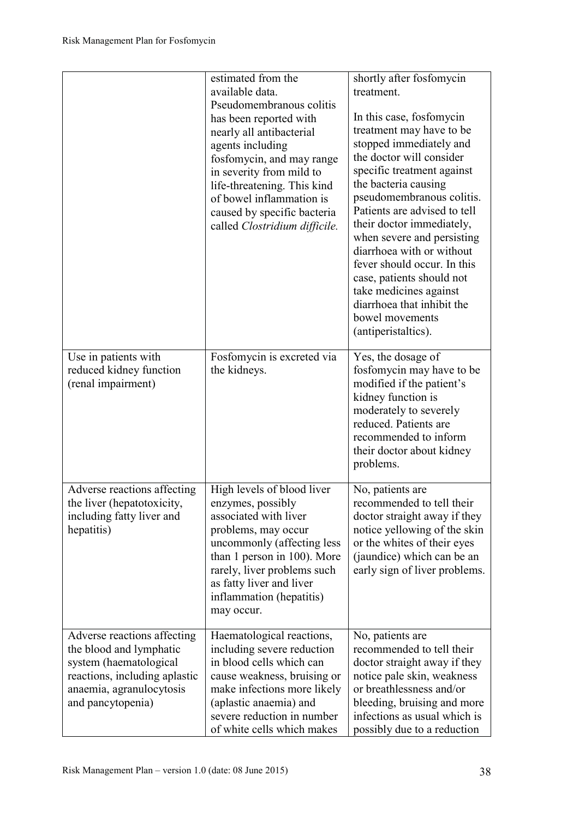|                                                                                                                                                                    | estimated from the<br>available data.<br>Pseudomembranous colitis<br>has been reported with<br>nearly all antibacterial<br>agents including<br>fosfomycin, and may range<br>in severity from mild to<br>life-threatening. This kind<br>of bowel inflammation is<br>caused by specific bacteria<br>called Clostridium difficile. | shortly after fosfomycin<br>treatment.<br>In this case, fosfomycin<br>treatment may have to be<br>stopped immediately and<br>the doctor will consider<br>specific treatment against<br>the bacteria causing<br>pseudomembranous colitis.<br>Patients are advised to tell<br>their doctor immediately,<br>when severe and persisting<br>diarrhoea with or without<br>fever should occur. In this<br>case, patients should not<br>take medicines against<br>diarrhoea that inhibit the<br>bowel movements<br>(antiperistaltics). |
|--------------------------------------------------------------------------------------------------------------------------------------------------------------------|---------------------------------------------------------------------------------------------------------------------------------------------------------------------------------------------------------------------------------------------------------------------------------------------------------------------------------|--------------------------------------------------------------------------------------------------------------------------------------------------------------------------------------------------------------------------------------------------------------------------------------------------------------------------------------------------------------------------------------------------------------------------------------------------------------------------------------------------------------------------------|
| Use in patients with<br>reduced kidney function<br>(renal impairment)                                                                                              | Fosfomycin is excreted via<br>the kidneys.                                                                                                                                                                                                                                                                                      | Yes, the dosage of<br>fosfomycin may have to be<br>modified if the patient's<br>kidney function is<br>moderately to severely<br>reduced. Patients are<br>recommended to inform<br>their doctor about kidney<br>problems.                                                                                                                                                                                                                                                                                                       |
| Adverse reactions affecting<br>the liver (hepatotoxicity,<br>including fatty liver and<br>hepatitis)                                                               | High levels of blood liver<br>enzymes, possibly<br>associated with liver<br>problems, may occur<br>uncommonly (affecting less<br>than 1 person in 100). More<br>rarely, liver problems such<br>as fatty liver and liver<br>inflammation (hepatitis)<br>may occur.                                                               | No, patients are<br>recommended to tell their<br>doctor straight away if they<br>notice yellowing of the skin<br>or the whites of their eyes<br>(jaundice) which can be an<br>early sign of liver problems.                                                                                                                                                                                                                                                                                                                    |
| Adverse reactions affecting<br>the blood and lymphatic<br>system (haematological<br>reactions, including aplastic<br>anaemia, agranulocytosis<br>and pancytopenia) | Haematological reactions,<br>including severe reduction<br>in blood cells which can<br>cause weakness, bruising or<br>make infections more likely<br>(aplastic anaemia) and<br>severe reduction in number<br>of white cells which makes                                                                                         | No, patients are<br>recommended to tell their<br>doctor straight away if they<br>notice pale skin, weakness<br>or breathlessness and/or<br>bleeding, bruising and more<br>infections as usual which is<br>possibly due to a reduction                                                                                                                                                                                                                                                                                          |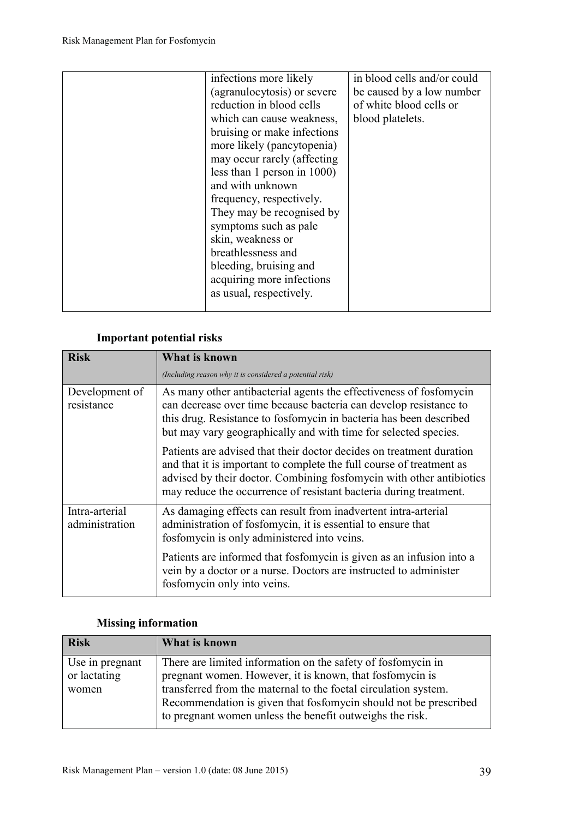| infections more likely      | in blood cells and/or could |
|-----------------------------|-----------------------------|
| (agranulocytosis) or severe | be caused by a low number   |
| reduction in blood cells    | of white blood cells or     |
| which can cause weakness,   | blood platelets.            |
| bruising or make infections |                             |
| more likely (pancytopenia)  |                             |
| may occur rarely (affecting |                             |
| less than 1 person in 1000) |                             |
| and with unknown            |                             |
| frequency, respectively.    |                             |
| They may be recognised by   |                             |
| symptoms such as pale       |                             |
| skin, weakness or           |                             |
| breathlessness and          |                             |
| bleeding, bruising and      |                             |
| acquiring more infections   |                             |
| as usual, respectively.     |                             |
|                             |                             |

# **Important potential risks**

| <b>Risk</b>                      | <b>What is known</b>                                                                                                                                                                                                                                                                      |  |
|----------------------------------|-------------------------------------------------------------------------------------------------------------------------------------------------------------------------------------------------------------------------------------------------------------------------------------------|--|
|                                  | (Including reason why it is considered a potential risk)                                                                                                                                                                                                                                  |  |
| Development of<br>resistance     | As many other antibacterial agents the effectiveness of fosfomycin<br>can decrease over time because bacteria can develop resistance to<br>this drug. Resistance to fosfomycin in bacteria has been described<br>but may vary geographically and with time for selected species.          |  |
|                                  | Patients are advised that their doctor decides on treatment duration<br>and that it is important to complete the full course of treatment as<br>advised by their doctor. Combining fosfomycin with other antibiotics<br>may reduce the occurrence of resistant bacteria during treatment. |  |
| Intra-arterial<br>administration | As damaging effects can result from inadvertent intra-arterial<br>administration of fosfomycin, it is essential to ensure that<br>fosfomycin is only administered into veins.                                                                                                             |  |
|                                  | Patients are informed that fosfomycin is given as an infusion into a<br>vein by a doctor or a nurse. Doctors are instructed to administer<br>fosfomycin only into veins.                                                                                                                  |  |

# **Missing information**

| <b>Risk</b>     | What is known                                                    |
|-----------------|------------------------------------------------------------------|
| Use in pregnant | There are limited information on the safety of fosfomycin in     |
| or lactating    | pregnant women. However, it is known, that fosfomycin is         |
| women           | transferred from the maternal to the foetal circulation system.  |
|                 | Recommendation is given that fosfomycin should not be prescribed |
|                 | to pregnant women unless the benefit outweighs the risk.         |
|                 |                                                                  |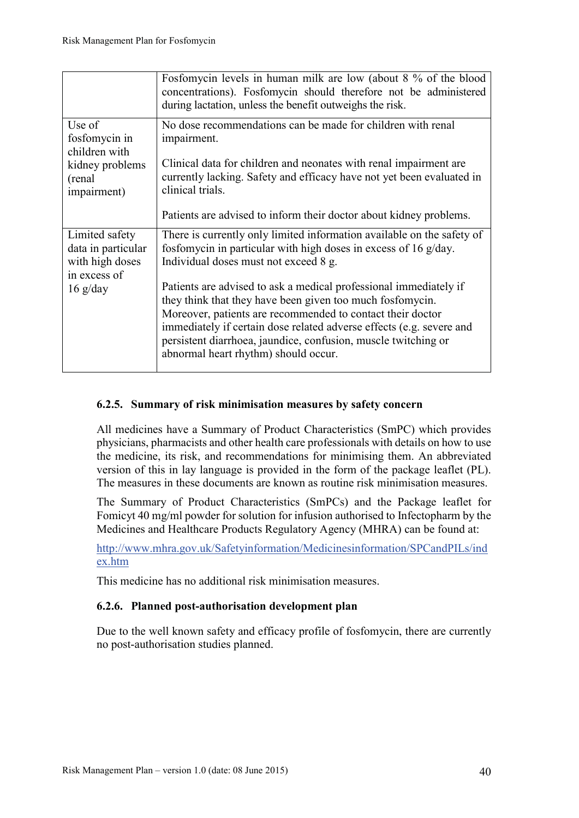|                                                                                               | Fosfomycin levels in human milk are low (about 8 % of the blood<br>concentrations). Fosfomycin should therefore not be administered<br>during lactation, unless the benefit outweighs the risk.                                                                                                                                                                                |
|-----------------------------------------------------------------------------------------------|--------------------------------------------------------------------------------------------------------------------------------------------------------------------------------------------------------------------------------------------------------------------------------------------------------------------------------------------------------------------------------|
| Use of<br>fosfomycin in<br>children with<br>kidney problems<br>(renal)<br><i>impairment</i> ) | No dose recommendations can be made for children with renal<br>impairment.<br>Clinical data for children and neonates with renal impairment are<br>currently lacking. Safety and efficacy have not yet been evaluated in<br>clinical trials.                                                                                                                                   |
|                                                                                               | Patients are advised to inform their doctor about kidney problems.                                                                                                                                                                                                                                                                                                             |
| Limited safety<br>data in particular<br>with high doses<br>in excess of                       | There is currently only limited information available on the safety of<br>fosfomycin in particular with high doses in excess of 16 g/day.<br>Individual doses must not exceed 8 g.                                                                                                                                                                                             |
| $16 \frac{g}{day}$                                                                            | Patients are advised to ask a medical professional immediately if<br>they think that they have been given too much fosfomycin.<br>Moreover, patients are recommended to contact their doctor<br>immediately if certain dose related adverse effects (e.g. severe and<br>persistent diarrhoea, jaundice, confusion, muscle twitching or<br>abnormal heart rhythm) should occur. |

### **6.2.5. Summary of risk minimisation measures by safety concern**

All medicines have a Summary of Product Characteristics (SmPC) which provides physicians, pharmacists and other health care professionals with details on how to use the medicine, its risk, and recommendations for minimising them. An abbreviated version of this in lay language is provided in the form of the package leaflet (PL). The measures in these documents are known as routine risk minimisation measures.

The Summary of Product Characteristics (SmPCs) and the Package leaflet for Fomicyt 40 mg/ml powder for solution for infusion authorised to Infectopharm by the Medicines and Healthcare Products Regulatory Agency (MHRA) can be found at:

http://www.mhra.gov.uk/Safetyinformation/Medicinesinformation/SPCandPILs/ind ex.htm

This medicine has no additional risk minimisation measures.

### **6.2.6. Planned post-authorisation development plan**

Due to the well known safety and efficacy profile of fosfomycin, there are currently no post-authorisation studies planned.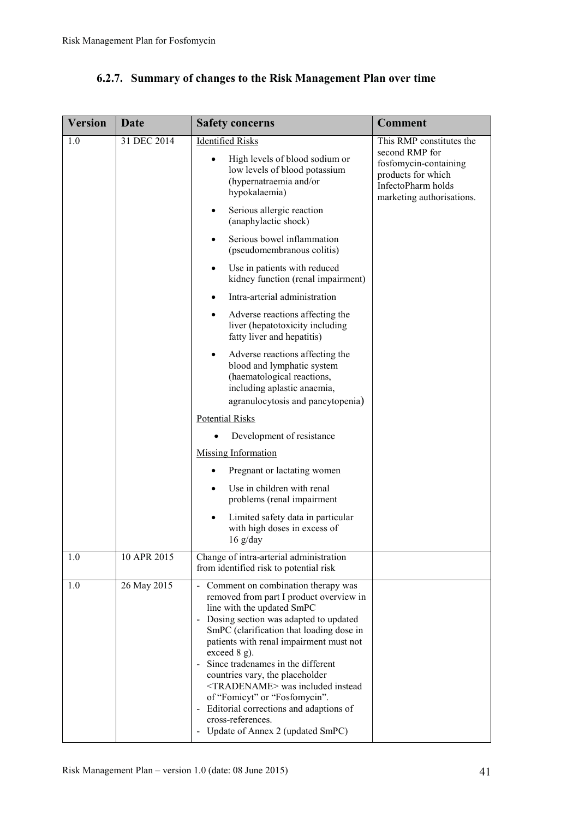| <b>Version</b> | <b>Date</b> | <b>Safety concerns</b>                                                                                                                                                                                                                                                                                                                                                                                                                                                                                                                  | <b>Comment</b>                                                                                                                               |
|----------------|-------------|-----------------------------------------------------------------------------------------------------------------------------------------------------------------------------------------------------------------------------------------------------------------------------------------------------------------------------------------------------------------------------------------------------------------------------------------------------------------------------------------------------------------------------------------|----------------------------------------------------------------------------------------------------------------------------------------------|
| 1.0            | 31 DEC 2014 | <b>Identified Risks</b><br>High levels of blood sodium or<br>$\bullet$<br>low levels of blood potassium<br>(hypernatraemia and/or<br>hypokalaemia)                                                                                                                                                                                                                                                                                                                                                                                      | This RMP constitutes the<br>second RMP for<br>fosfomycin-containing<br>products for which<br>InfectoPharm holds<br>marketing authorisations. |
|                |             | Serious allergic reaction<br>$\bullet$<br>(anaphylactic shock)                                                                                                                                                                                                                                                                                                                                                                                                                                                                          |                                                                                                                                              |
|                |             | Serious bowel inflammation<br>$\bullet$<br>(pseudomembranous colitis)                                                                                                                                                                                                                                                                                                                                                                                                                                                                   |                                                                                                                                              |
|                |             | Use in patients with reduced<br>$\bullet$<br>kidney function (renal impairment)                                                                                                                                                                                                                                                                                                                                                                                                                                                         |                                                                                                                                              |
|                |             | Intra-arterial administration<br>$\bullet$                                                                                                                                                                                                                                                                                                                                                                                                                                                                                              |                                                                                                                                              |
|                |             | Adverse reactions affecting the<br>٠<br>liver (hepatotoxicity including<br>fatty liver and hepatitis)                                                                                                                                                                                                                                                                                                                                                                                                                                   |                                                                                                                                              |
|                |             | Adverse reactions affecting the<br>$\bullet$<br>blood and lymphatic system<br>(haematological reactions,<br>including aplastic anaemia,<br>agranulocytosis and pancytopenia)                                                                                                                                                                                                                                                                                                                                                            |                                                                                                                                              |
|                |             | <b>Potential Risks</b>                                                                                                                                                                                                                                                                                                                                                                                                                                                                                                                  |                                                                                                                                              |
|                |             | Development of resistance                                                                                                                                                                                                                                                                                                                                                                                                                                                                                                               |                                                                                                                                              |
|                |             | <b>Missing Information</b>                                                                                                                                                                                                                                                                                                                                                                                                                                                                                                              |                                                                                                                                              |
|                |             | Pregnant or lactating women<br>$\bullet$                                                                                                                                                                                                                                                                                                                                                                                                                                                                                                |                                                                                                                                              |
|                |             | Use in children with renal<br>$\bullet$<br>problems (renal impairment                                                                                                                                                                                                                                                                                                                                                                                                                                                                   |                                                                                                                                              |
|                |             | Limited safety data in particular<br>$\bullet$<br>with high doses in excess of<br>$16$ g/day                                                                                                                                                                                                                                                                                                                                                                                                                                            |                                                                                                                                              |
| 1.0            | 10 APR 2015 | Change of intra-arterial administration<br>from identified risk to potential risk                                                                                                                                                                                                                                                                                                                                                                                                                                                       |                                                                                                                                              |
| 1.0            | 26 May 2015 | - Comment on combination therapy was<br>removed from part I product overview in<br>line with the updated SmPC<br>- Dosing section was adapted to updated<br>SmPC (clarification that loading dose in<br>patients with renal impairment must not<br>exceed $8$ g).<br>- Since tradenames in the different<br>countries vary, the placeholder<br><tradename> was included instead<br/>of "Fomicyt" or "Fosfomycin".<br/>- Editorial corrections and adaptions of<br/>cross-references.<br/>- Update of Annex 2 (updated SmPC)</tradename> |                                                                                                                                              |

## **6.2.7. Summary of changes to the Risk Management Plan over time**